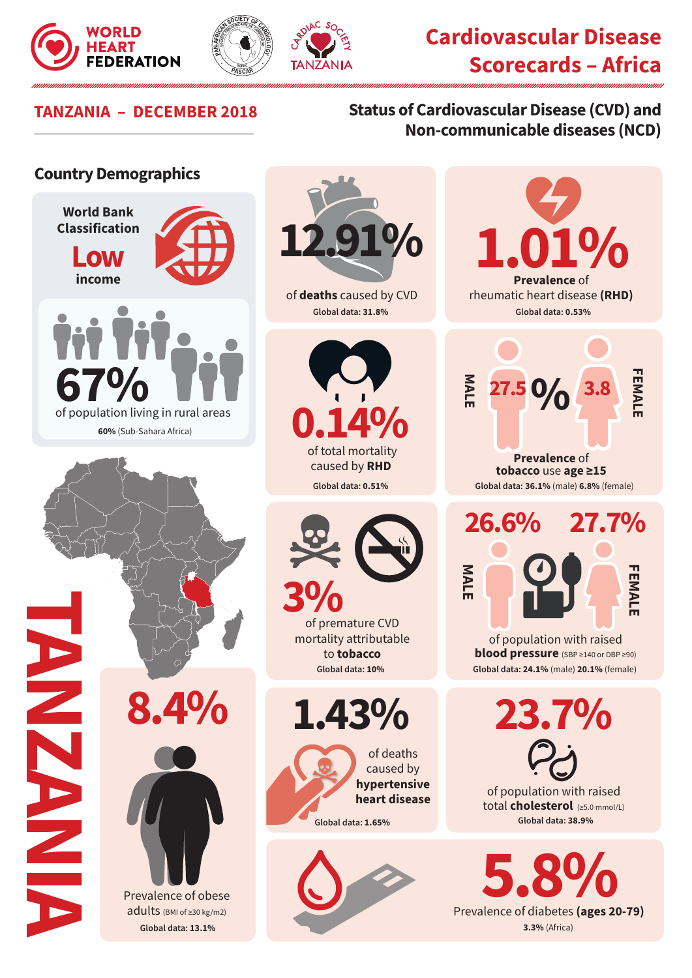





# **TANZANIA – DECEMBER 2018 Status of Cardiovascular Disease (CVD) and Non-communicable diseases (NCD)**